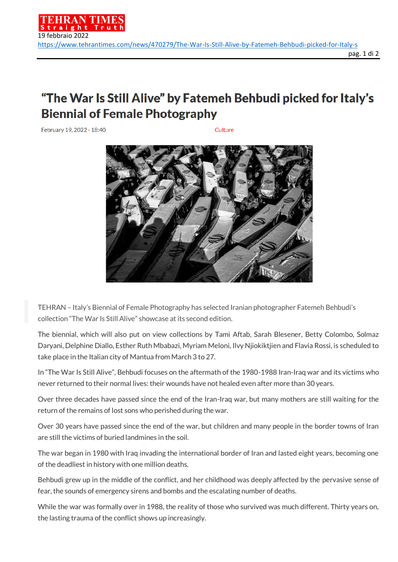## "The War Is Still Alive" by Fatemeh Behbudi picked for Italy's **Biennial of Female Photography**

February 19, 2022 - 18:40

Culture



TEHRAN – Italy's Biennial of Female Photography has selected Iranian photographer Fatemeh Behbudi's collection "The War Is Still Alive" showcase at its second edition.

The biennial, which will also put on view collections by Tami Aftab, Sarah Blesener, Betty Colombo, Solmaz Daryani, Delphine Diallo, Esther Ruth Mbabazi, Myriam Meloni, Ilvy Njiokiktjien and Flavia Rossi, is scheduled to take place in the Italian city of Mantua from March 3 to 27.

In "The War Is Still Alive", Behbudi focuses on the aftermath of the 1980-1988 Iran-Iraq war and its victims who never returned to their normal lives: their wounds have not healed even after more than 30 years.

Over three decades have passed since the end of the Iran-Iraq war, but many mothers are still waiting for the return of the remains of lost sons who perished during the war.

Over 30 years have passed since the end of the war, but children and many people in the border towns of Iran are still the victims of buried landmines in the soil.

The war began in 1980 with Iraq invading the international border of Iran and lasted eight years, becoming one of the deadliest in history with one million deaths.

Behbudi grew up in the middle of the conflict, and her childhood was deeply affected by the pervasive sense of fear, the sounds of emergency sirens and bombs and the escalating number of deaths.

While the war was formally over in 1988, the reality of those who survived was much different. Thirty years on, the lasting trauma of the conflict shows up increasingly.